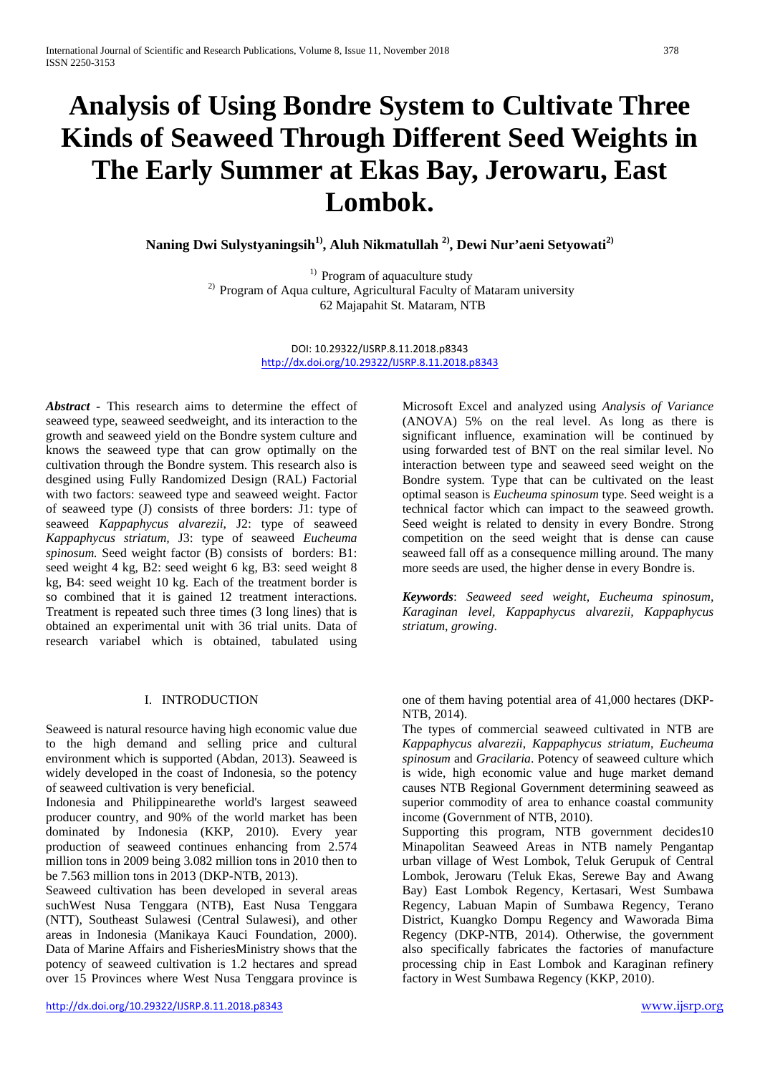# **Analysis of Using Bondre System to Cultivate Three Kinds of Seaweed Through Different Seed Weights in The Early Summer at Ekas Bay, Jerowaru, East Lombok.**

**Naning Dwi Sulystyaningsih1) , Aluh Nikmatullah 2), Dewi Nur'aeni Setyowati2)**

<sup>1)</sup> Program of aquaculture study <sup>2)</sup> Program of Aqua culture, Agricultural Faculty of Mataram university 62 Majapahit St. Mataram, NTB

> DOI: 10.29322/IJSRP.8.11.2018.p8343 <http://dx.doi.org/10.29322/IJSRP.8.11.2018.p8343>

*Abstract -* This research aims to determine the effect of seaweed type, seaweed seedweight, and its interaction to the growth and seaweed yield on the Bondre system culture and knows the seaweed type that can grow optimally on the cultivation through the Bondre system. This research also is desgined using Fully Randomized Design (RAL) Factorial with two factors: seaweed type and seaweed weight. Factor of seaweed type (J) consists of three borders: J1: type of seaweed *Kappaphycus alvarezii*, J2: type of seaweed *Kappaphycus striatum,* J3: type of seaweed *Eucheuma spinosum.* Seed weight factor (B) consists of borders: B1: seed weight 4 kg, B2: seed weight 6 kg, B3: seed weight 8 kg, B4: seed weight 10 kg. Each of the treatment border is so combined that it is gained 12 treatment interactions. Treatment is repeated such three times (3 long lines) that is obtained an experimental unit with 36 trial units. Data of research variabel which is obtained, tabulated using

#### I. INTRODUCTION

Seaweed is natural resource having high economic value due to the high demand and selling price and cultural environment which is supported (Abdan, 2013). Seaweed is widely developed in the coast of Indonesia, so the potency of seaweed cultivation is very beneficial.

Indonesia and Philippinearethe world's largest seaweed producer country, and 90% of the world market has been dominated by Indonesia (KKP, 2010). Every year production of seaweed continues enhancing from 2.574 million tons in 2009 being 3.082 million tons in 2010 then to be 7.563 million tons in 2013 (DKP-NTB, 2013).

Seaweed cultivation has been developed in several areas suchWest Nusa Tenggara (NTB), East Nusa Tenggara (NTT), Southeast Sulawesi (Central Sulawesi), and other areas in Indonesia (Manikaya Kauci Foundation, 2000). Data of Marine Affairs and FisheriesMinistry shows that the potency of seaweed cultivation is 1.2 hectares and spread over 15 Provinces where West Nusa Tenggara province is

Microsoft Excel and analyzed using *Analysis of Variance* (ANOVA) 5% on the real level. As long as there is significant influence, examination will be continued by using forwarded test of BNT on the real similar level. No interaction between type and seaweed seed weight on the Bondre system. Type that can be cultivated on the least optimal season is *Eucheuma spinosum* type. Seed weight is a technical factor which can impact to the seaweed growth. Seed weight is related to density in every Bondre. Strong competition on the seed weight that is dense can cause seaweed fall off as a consequence milling around. The many more seeds are used, the higher dense in every Bondre is.

*Keywords*: *Seaweed seed weight, Eucheuma spinosum, Karaginan level, Kappaphycus alvarezii, Kappaphycus striatum, growing*.

one of them having potential area of 41,000 hectares (DKP-NTB, 2014).

The types of commercial seaweed cultivated in NTB are *Kappaphycus alvarezii*, *Kappaphycus striatum*, *Eucheuma spinosum* and *Gracilaria*. Potency of seaweed culture which is wide, high economic value and huge market demand causes NTB Regional Government determining seaweed as superior commodity of area to enhance coastal community income (Government of NTB, 2010).

Supporting this program, NTB government decides10 Minapolitan Seaweed Areas in NTB namely Pengantap urban village of West Lombok, Teluk Gerupuk of Central Lombok, Jerowaru (Teluk Ekas, Serewe Bay and Awang Bay) East Lombok Regency, Kertasari, West Sumbawa Regency, Labuan Mapin of Sumbawa Regency, Terano District, Kuangko Dompu Regency and Waworada Bima Regency (DKP-NTB, 2014). Otherwise, the government also specifically fabricates the factories of manufacture processing chip in East Lombok and Karaginan refinery factory in West Sumbawa Regency (KKP, 2010).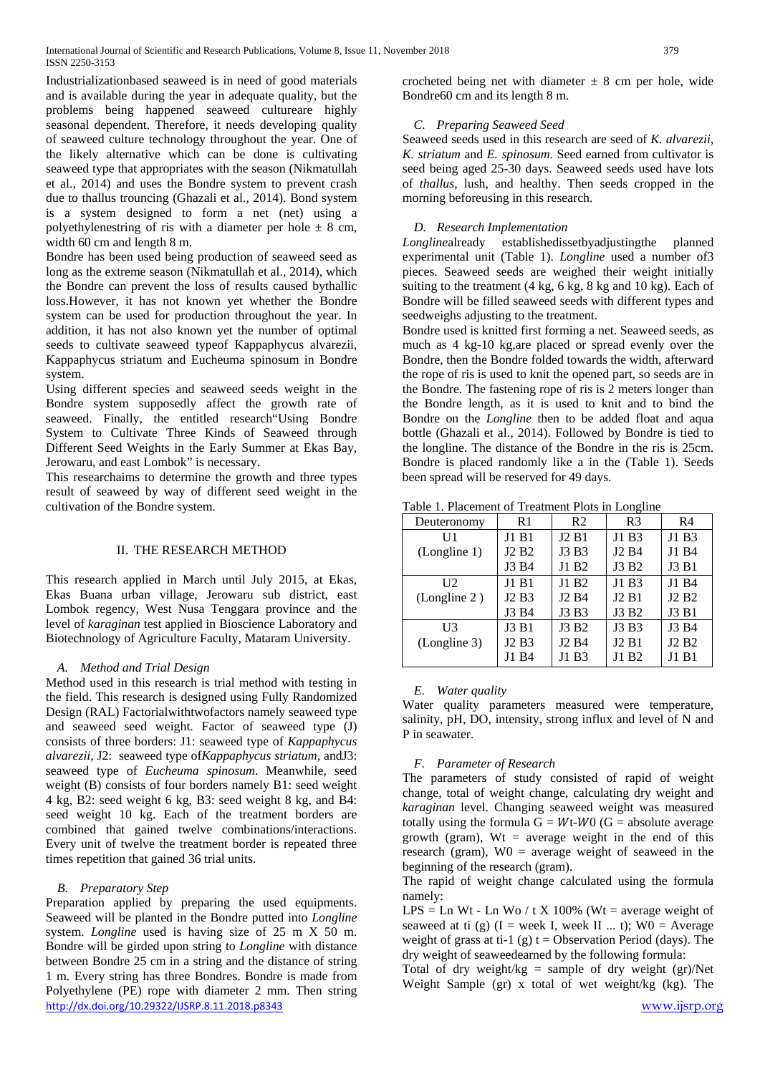Industrializationbased seaweed is in need of good materials and is available during the year in adequate quality, but the problems being happened seaweed cultureare highly seasonal dependent. Therefore, it needs developing quality of seaweed culture technology throughout the year. One of the likely alternative which can be done is cultivating seaweed type that appropriates with the season (Nikmatullah et al., 2014) and uses the Bondre system to prevent crash due to thallus trouncing (Ghazali et al., 2014). Bond system is a system designed to form a net (net) using a polyethylenestring of ris with a diameter per hole  $\pm$  8 cm, width 60 cm and length 8 m.

Bondre has been used being production of seaweed seed as long as the extreme season (Nikmatullah et al., 2014), which the Bondre can prevent the loss of results caused bythallic loss.However, it has not known yet whether the Bondre system can be used for production throughout the year. In addition, it has not also known yet the number of optimal seeds to cultivate seaweed typeof Kappaphycus alvarezii, Kappaphycus striatum and Eucheuma spinosum in Bondre system.

Using different species and seaweed seeds weight in the Bondre system supposedly affect the growth rate of seaweed. Finally, the entitled research"Using Bondre System to Cultivate Three Kinds of Seaweed through Different Seed Weights in the Early Summer at Ekas Bay, Jerowaru, and east Lombok" is necessary.

This researchaims to determine the growth and three types result of seaweed by way of different seed weight in the cultivation of the Bondre system.

## II. THE RESEARCH METHOD

This research applied in March until July 2015, at Ekas, Ekas Buana urban village, Jerowaru sub district, east Lombok regency, West Nusa Tenggara province and the level of *karaginan* test applied in Bioscience Laboratory and Biotechnology of Agriculture Faculty, Mataram University.

## *A. Method and Trial Design*

Method used in this research is trial method with testing in the field. This research is designed using Fully Randomized Design (RAL) Factorialwithtwofactors namely seaweed type and seaweed seed weight. Factor of seaweed type (J) consists of three borders: J1: seaweed type of *Kappaphycus alvarezii,* J2: seaweed type of*Kappaphycus striatum*, andJ3: seaweed type of *Eucheuma spinosum*. Meanwhile, seed weight (B) consists of four borders namely B1: seed weight 4 kg, B2: seed weight 6 kg, B3: seed weight 8 kg, and B4: seed weight 10 kg. Each of the treatment borders are combined that gained twelve combinations/interactions. Every unit of twelve the treatment border is repeated three times repetition that gained 36 trial units.

## *B. Preparatory Step*

<http://dx.doi.org/10.29322/IJSRP.8.11.2018.p8343> [www.ijsrp.org](http://ijsrp.org/) Preparation applied by preparing the used equipments. Seaweed will be planted in the Bondre putted into *Longline* system. *Longline* used is having size of 25 m X 50 m. Bondre will be girded upon string to *Longline* with distance between Bondre 25 cm in a string and the distance of string 1 m. Every string has three Bondres. Bondre is made from Polyethylene (PE) rope with diameter 2 mm. Then string

crocheted being net with diameter  $\pm 8$  cm per hole, wide Bondre60 cm and its length 8 m.

## *C. Preparing Seaweed Seed*

Seaweed seeds used in this research are seed of *K. alvarezii, K. striatum* and *E. spinosum.* Seed earned from cultivator is seed being aged 25-30 days. Seaweed seeds used have lots of *thallus*, lush, and healthy. Then seeds cropped in the morning beforeusing in this research.

## *D. Research Implementation*

*Longline*already establishedissetbyadjustingthe planned experimental unit (Table 1). *Longline* used a number of3 pieces. Seaweed seeds are weighed their weight initially suiting to the treatment (4 kg, 6 kg, 8 kg and 10 kg). Each of Bondre will be filled seaweed seeds with different types and seedweighs adjusting to the treatment.

Bondre used is knitted first forming a net. Seaweed seeds, as much as 4 kg-10 kg,are placed or spread evenly over the Bondre, then the Bondre folded towards the width, afterward the rope of ris is used to knit the opened part, so seeds are in the Bondre. The fastening rope of ris is 2 meters longer than the Bondre length, as it is used to knit and to bind the Bondre on the *Longline* then to be added float and aqua bottle (Ghazali et al., 2014). Followed by Bondre is tied to the longline. The distance of the Bondre in the ris is 25cm. Bondre is placed randomly like a in the (Table 1). Seeds been spread will be reserved for 49 days.

Table 1. Placement of Treatment Plots in Longline

| Deuteronomy  | R <sub>1</sub>                | R <sub>2</sub>                | R3                            | R4                            |
|--------------|-------------------------------|-------------------------------|-------------------------------|-------------------------------|
| U1           | J1 B1                         | J2B1                          | J1 B3                         | J1 B3                         |
| (Longline 1) | J <sub>2</sub> B <sub>2</sub> | J3 B3                         | J <sub>2</sub> B <sub>4</sub> | J1 B4                         |
|              | J3 B4                         | J1 B2                         | J3 B2                         | J3 B1                         |
| U2           | J1 B1                         | J1 B2                         | J1 B3                         | J1 B4                         |
| (Longline 2) | J <sub>2</sub> B <sub>3</sub> | J <sub>2</sub> B <sub>4</sub> | J <sub>2</sub> B <sub>1</sub> | J <sub>2</sub> B <sub>2</sub> |
|              | J3 B4                         | J3 B3                         | J3 B2                         | J3 B1                         |
| U3           | J3 B1                         | J3 B2                         | J3 B3                         | J3 B4                         |
| (Longline 3) | J <sub>2</sub> B <sub>3</sub> | J <sub>2</sub> B <sub>4</sub> | J <sub>2</sub> B <sub>1</sub> | J <sub>2</sub> B <sub>2</sub> |
|              | J1 B4                         | J1 B3                         | J1 B2                         | J1 B1                         |

## *E. Water quality*

Water quality parameters measured were temperature, salinity, pH, DO, intensity, strong influx and level of N and P in seawater.

# *F. Parameter of Research*

The parameters of study consisted of rapid of weight change, total of weight change, calculating dry weight and *karaginan* level. Changing seaweed weight was measured totally using the formula  $G = Wt-W0$  ( $G =$  absolute average growth (gram),  $Wt = average weight in the end of this$ research (gram),  $W0$  = average weight of seaweed in the beginning of the research (gram).

The rapid of weight change calculated using the formula namely:

LPS = Ln Wt - Ln Wo / t X 100% (Wt = average weight of seaweed at ti (g)  $(I = week I, week II ... t)$ ;  $W0 = Average$ weight of grass at ti-1 (g)  $t =$  Observation Period (days). The dry weight of seaweedearned by the following formula:

Total of dry weight/kg = sample of dry weight  $(gr)$ /Net Weight Sample (gr) x total of wet weight/kg (kg). The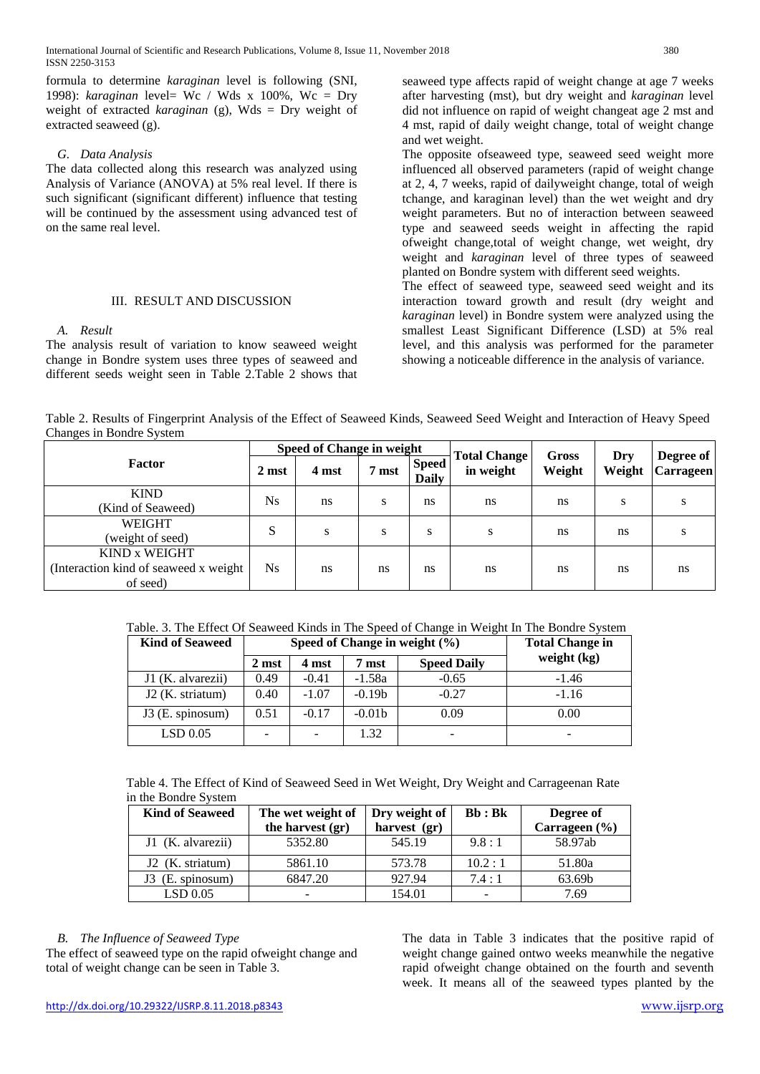formula to determine *karaginan* level is following (SNI, 1998): *karaginan* level= Wc / Wds x 100%, Wc = Dry weight of extracted *karaginan* (g), Wds = Dry weight of extracted seaweed (g).

## *G. Data Analysis*

The data collected along this research was analyzed using Analysis of Variance (ANOVA) at 5% real level. If there is such significant (significant different) influence that testing will be continued by the assessment using advanced test of on the same real level.

#### III. RESULT AND DISCUSSION

## *A. Result*

The analysis result of variation to know seaweed weight change in Bondre system uses three types of seaweed and different seeds weight seen in Table 2.Table 2 shows that seaweed type affects rapid of weight change at age 7 weeks after harvesting (mst), but dry weight and *karaginan* level did not influence on rapid of weight changeat age 2 mst and 4 mst, rapid of daily weight change, total of weight change and wet weight.

The opposite ofseaweed type, seaweed seed weight more influenced all observed parameters (rapid of weight change at 2, 4, 7 weeks, rapid of dailyweight change, total of weigh tchange, and karaginan level) than the wet weight and dry weight parameters. But no of interaction between seaweed type and seaweed seeds weight in affecting the rapid ofweight change,total of weight change, wet weight, dry weight and *karaginan* level of three types of seaweed planted on Bondre system with different seed weights.

The effect of seaweed type, seaweed seed weight and its interaction toward growth and result (dry weight and *karaginan* level) in Bondre system were analyzed using the smallest Least Significant Difference (LSD) at 5% real level, and this analysis was performed for the parameter showing a noticeable difference in the analysis of variance.

Table 2. Results of Fingerprint Analysis of the Effect of Seaweed Kinds, Seaweed Seed Weight and Interaction of Heavy Speed Changes in Bondre System

|                                        |           | <b>Speed of Change in weight</b> |       |                              | <b>Total Change</b> | Gross  | Dry    | Degree of        |
|----------------------------------------|-----------|----------------------------------|-------|------------------------------|---------------------|--------|--------|------------------|
| <b>Factor</b>                          | 2 mst     | 4 mst                            | 7 mst | <b>Speed</b><br><b>Daily</b> | in weight           | Weight | Weight | <b>Carrageen</b> |
| <b>KIND</b>                            | <b>Ns</b> | ns                               | S     | ns                           | ns                  | ns     |        |                  |
| (Kind of Seaweed)                      |           |                                  |       |                              |                     |        | S      | S                |
| <b>WEIGHT</b>                          | S         |                                  |       |                              |                     |        |        |                  |
| (weight of seed)                       |           | S                                | S     | S                            | S                   | ns     | ns     | S                |
| <b>KIND x WEIGHT</b>                   |           |                                  |       |                              |                     |        |        |                  |
| (Interaction kind of seaweed x weight) | Ns.       | ns                               | ns    | ns                           | ns                  | ns     | ns     | ns               |
| of seed)                               |           |                                  |       |                              |                     |        |        |                  |

Table. 3. The Effect Of Seaweed Kinds in The Speed of Change in Weight In The Bondre System

| <b>Kind of Seaweed</b> |                 | Speed of Change in weight $(\% )$ | <b>Total Change in</b> |                    |               |
|------------------------|-----------------|-----------------------------------|------------------------|--------------------|---------------|
|                        | 2 mst           | 4 mst                             | 7 mst                  | <b>Speed Daily</b> | weight $(kg)$ |
| J1 (K. alvarezii)      | 0.49            | $-0.41$                           | $-1.58a$               | $-0.65$            | $-1.46$       |
| J2 (K. striatum)       | 0.40            | $-1.07$                           | $-0.19b$               | $-0.27$            | $-1.16$       |
| J3 (E. spinosum)       | 0.51            | $-0.17$                           | $-0.01b$               | 0.09               | 0.00          |
| LSD 0.05               | $\qquad \qquad$ | ۰                                 | 1.32                   | -                  | -             |

Table 4. The Effect of Kind of Seaweed Seed in Wet Weight, Dry Weight and Carrageenan Rate in the Bondre System

| <b>Kind of Seaweed</b> | The wet weight of<br>the harvest (gr) | Dry weight of<br>harvest (gr) | Bb : Bk | Degree of<br>Carrageen (%) |
|------------------------|---------------------------------------|-------------------------------|---------|----------------------------|
| J1 (K. alvarezii)      | 5352.80                               | 545.19                        | 9.8:1   | 58.97ab                    |
| J2 (K. striatum)       | 5861.10                               | 573.78                        | 10.2:1  | 51.80a                     |
| (E. spinosum)          | 6847.20                               | 927.94                        | 7.4:1   | 63.69b                     |
| LSD 0.05               | -                                     | 154.01                        |         | 7.69                       |

## *B. The Influence of Seaweed Type*

The effect of seaweed type on the rapid ofweight change and total of weight change can be seen in Table 3.

The data in Table 3 indicates that the positive rapid of weight change gained ontwo weeks meanwhile the negative rapid ofweight change obtained on the fourth and seventh week. It means all of the seaweed types planted by the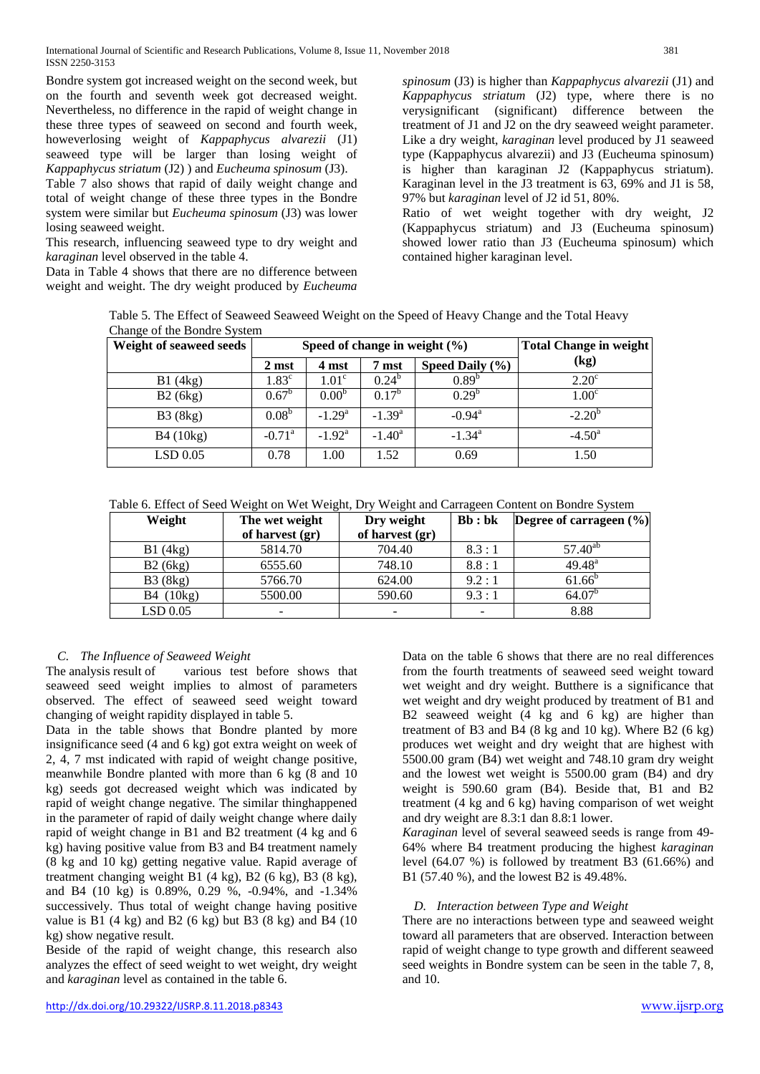Bondre system got increased weight on the second week, but on the fourth and seventh week got decreased weight. Nevertheless, no difference in the rapid of weight change in these three types of seaweed on second and fourth week, howeverlosing weight of *Kappaphycus alvarezii* (J1) seaweed type will be larger than losing weight of *Kappaphycus striatum* (J2) ) and *Eucheuma spinosum* (J3).

Table 7 also shows that rapid of daily weight change and total of weight change of these three types in the Bondre system were similar but *Eucheuma spinosum* (J3) was lower losing seaweed weight.

This research, influencing seaweed type to dry weight and *karaginan* level observed in the table 4.

Data in Table 4 shows that there are no difference between weight and weight. The dry weight produced by *Eucheuma*

*spinosum* (J3) is higher than *Kappaphycus alvarezii* (J1) and *Kappaphycus striatum* (J2) type, where there is no verysignificant (significant) difference between the treatment of J1 and J2 on the dry seaweed weight parameter. Like a dry weight, *karaginan* level produced by J1 seaweed type (Kappaphycus alvarezii) and J3 (Eucheuma spinosum) is higher than karaginan J2 (Kappaphycus striatum). Karaginan level in the J3 treatment is 63, 69% and J1 is 58, 97% but *karaginan* level of J2 id 51, 80%.

Ratio of wet weight together with dry weight, J2 (Kappaphycus striatum) and J3 (Eucheuma spinosum) showed lower ratio than J3 (Eucheuma spinosum) which contained higher karaginan level.

Table 5. The Effect of Seaweed Seaweed Weight on the Speed of Heavy Change and the Total Heavy Change of the Bondre System

| Weight of seaweed seeds |                      | Speed of change in weight $(\% )$ | Total Change in weight |                      |                   |  |
|-------------------------|----------------------|-----------------------------------|------------------------|----------------------|-------------------|--|
|                         | 2 mst                | 4 mst                             | 7 mst                  | Speed Daily (%)      | (kg)              |  |
| B1(4kg)                 | $1.83^{\circ}$       | 1.01 <sup>c</sup>                 | $0.24^{b}$             | $0.89^{b}$           | $2.20^{\circ}$    |  |
| B2(6kg)                 | $0.67^{\circ}$       | $0.00^{6}$                        | $0.17^{b}$             | $0.29^{b}$           | 1.00 <sup>c</sup> |  |
| B3(8kg)                 | $0.08^{b}$           | $-1.29a$                          | $-1.39^{\rm a}$        | $-0.94$ <sup>a</sup> | $-2.20^{o}$       |  |
| <b>B4</b> (10kg)        | $-0.71$ <sup>a</sup> | $-1.92^{\rm a}$                   | $-1.40^{\rm a}$        | $-1.34^{\rm a}$      | $-4.50^{\circ}$   |  |
| $LSD$ 0.05              | 0.78                 | 1.00                              | 1.52                   | 0.69                 | 1.50              |  |

Table 6. Effect of Seed Weight on Wet Weight, Dry Weight and Carrageen Content on Bondre System

| Weight    | The wet weight           | Dry weight               | Bb : bk | <b>Degree of carrageen</b> $(\%)$ |
|-----------|--------------------------|--------------------------|---------|-----------------------------------|
|           | of harvest (gr)          | of harvest (gr)          |         |                                   |
| B1(4kg)   | 5814.70                  | 704.40                   | 8.3:1   | $57.40^{ab}$                      |
| B2(6kg)   | 6555.60                  | 748.10                   | 8.8:1   | $49.48^{\text{a}}$                |
| B3(8kg)   | 5766.70                  | 624.00                   | 9.2:1   | $61.66^{b}$                       |
| B4 (10kg) | 5500.00                  | 590.60                   | 9.3:1   | 64.07 <sup>b</sup>                |
| LSD 0.05  | $\overline{\phantom{a}}$ | $\overline{\phantom{0}}$ | -       | 8.88                              |

# *C. The Influence of Seaweed Weight*

The analysis result of various test before shows that seaweed seed weight implies to almost of parameters observed. The effect of seaweed seed weight toward changing of weight rapidity displayed in table 5.

Data in the table shows that Bondre planted by more insignificance seed (4 and 6 kg) got extra weight on week of 2, 4, 7 mst indicated with rapid of weight change positive, meanwhile Bondre planted with more than 6 kg (8 and 10 kg) seeds got decreased weight which was indicated by rapid of weight change negative. The similar thinghappened in the parameter of rapid of daily weight change where daily rapid of weight change in B1 and B2 treatment (4 kg and 6 kg) having positive value from B3 and B4 treatment namely (8 kg and 10 kg) getting negative value. Rapid average of treatment changing weight B1 (4 kg), B2 (6 kg), B3 (8 kg), and B4 (10 kg) is 0.89%, 0.29 %, -0.94%, and -1.34% successively. Thus total of weight change having positive value is B1  $(4 \text{ kg})$  and B2  $(6 \text{ kg})$  but B3  $(8 \text{ kg})$  and B4  $(10 \text{ kg})$ kg) show negative result.

Beside of the rapid of weight change, this research also analyzes the effect of seed weight to wet weight, dry weight and *karaginan* level as contained in the table 6.

treatment of B3 and B4  $(8 \text{ kg and } 10 \text{ kg})$ . Where B2  $(6 \text{ kg})$ produces wet weight and dry weight that are highest with 5500.00 gram (B4) wet weight and 748.10 gram dry weight and the lowest wet weight is 5500.00 gram (B4) and dry weight is 590.60 gram (B4). Beside that, B1 and B2 treatment (4 kg and 6 kg) having comparison of wet weight and dry weight are 8.3:1 dan 8.8:1 lower. *Karaginan* level of several seaweed seeds is range from 49- 64% where B4 treatment producing the highest *karaginan* level (64.07 %) is followed by treatment B3 (61.66%) and B1 (57.40 %), and the lowest B2 is 49.48%.

# *D. Interaction between Type and Weight*

There are no interactions between type and seaweed weight toward all parameters that are observed. Interaction between rapid of weight change to type growth and different seaweed seed weights in Bondre system can be seen in the table 7, 8, and 10.

Data on the table 6 shows that there are no real differences from the fourth treatments of seaweed seed weight toward wet weight and dry weight. Butthere is a significance that wet weight and dry weight produced by treatment of B1 and B2 seaweed weight (4 kg and 6 kg) are higher than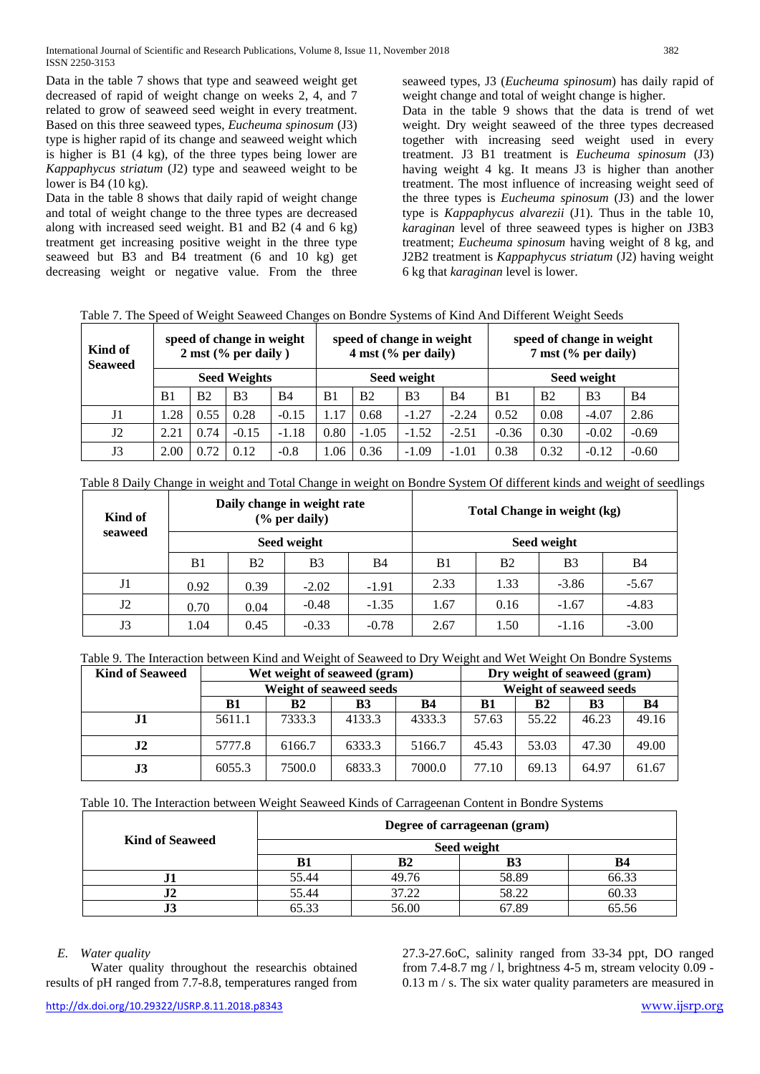Data in the table 7 shows that type and seaweed weight get decreased of rapid of weight change on weeks 2, 4, and 7 related to grow of seaweed seed weight in every treatment. Based on this three seaweed types, *Eucheuma spinosum* (J3) type is higher rapid of its change and seaweed weight which is higher is B1 (4 kg), of the three types being lower are *Kappaphycus striatum* (J2) type and seaweed weight to be lower is B4 (10 kg).

Data in the table 8 shows that daily rapid of weight change and total of weight change to the three types are decreased along with increased seed weight. B1 and B2 (4 and 6 kg) treatment get increasing positive weight in the three type seaweed but B3 and B4 treatment (6 and 10 kg) get decreasing weight or negative value. From the three

seaweed types, J3 (*Eucheuma spinosum*) has daily rapid of weight change and total of weight change is higher.

Data in the table 9 shows that the data is trend of wet weight. Dry weight seaweed of the three types decreased together with increasing seed weight used in every treatment. J3 B1 treatment is *Eucheuma spinosum* (J3) having weight 4 kg. It means J3 is higher than another treatment. The most influence of increasing weight seed of the three types is *Eucheuma spinosum* (J3) and the lower type is *Kappaphycus alvarezii* (J1). Thus in the table 10, *karaginan* level of three seaweed types is higher on J3B3 treatment; *Eucheuma spinosum* having weight of 8 kg, and J2B2 treatment is *Kappaphycus striatum* (J2) having weight 6 kg that *karaginan* level is lower.

|  | sneed of change in weight | sneed of change in weight                                                                         | sneed of change in weight |  |  |
|--|---------------------------|---------------------------------------------------------------------------------------------------|---------------------------|--|--|
|  |                           | Table 7. The Speed of Weight Seaweed Changes on Bondre Systems of Kind And Different Weight Seeds |                           |  |  |

| Kind of<br><b>Seaweed</b> |                |      | speed of change in weight<br>$2 \text{ mst}$ (% per daily) |           |                | speed of change in weight<br>$4 \text{ mst}$ (% per daily) |                |           |                |                | speed of change in weight<br>$7 \text{ mst}$ (% per daily) |            |  |
|---------------------------|----------------|------|------------------------------------------------------------|-----------|----------------|------------------------------------------------------------|----------------|-----------|----------------|----------------|------------------------------------------------------------|------------|--|
|                           |                |      | <b>Seed Weights</b>                                        |           |                | Seed weight                                                |                |           |                | Seed weight    |                                                            |            |  |
|                           | B <sub>1</sub> | B2   | <b>B</b> <sub>3</sub>                                      | <b>B4</b> | B <sub>1</sub> | B <sub>2</sub>                                             | B <sub>3</sub> | <b>B4</b> | B <sub>1</sub> | B <sub>2</sub> | B <sub>3</sub>                                             | <b>B</b> 4 |  |
| J1                        | .28            | 0.55 | 0.28                                                       | $-0.15$   | .17            | 0.68                                                       | $-1.27$        | $-2.24$   | 0.52           | 0.08           | $-4.07$                                                    | 2.86       |  |
| J2                        | 2.21           | 0.74 | $-0.15$                                                    | $-1.18$   | 0.80           | $-1.05$                                                    | $-1.52$        | $-2.51$   | $-0.36$        | 0.30           | $-0.02$                                                    | $-0.69$    |  |
| J3                        | 2.00           | 0.72 | 0.12                                                       | $-0.8$    | .06            | 0.36                                                       | $-1.09$        | $-1.01$   | 0.38           | 0.32           | $-0.12$                                                    | $-0.60$    |  |

|  |  |  | Table 8 Daily Change in weight and Total Change in weight on Bondre System Of different kinds and weight of seedlings |
|--|--|--|-----------------------------------------------------------------------------------------------------------------------|
|  |  |  |                                                                                                                       |
|  |  |  |                                                                                                                       |

| Kind of        |      |           | Daily change in weight rate<br>$(\%$ per daily) |           | Total Change in weight (kg) |           |                |            |  |
|----------------|------|-----------|-------------------------------------------------|-----------|-----------------------------|-----------|----------------|------------|--|
| seaweed        |      |           | Seed weight                                     |           | Seed weight                 |           |                |            |  |
|                | B1   | <b>B2</b> | B <sub>3</sub>                                  | <b>B4</b> | B1                          | <b>B2</b> | B <sub>3</sub> | <b>B</b> 4 |  |
| J <sub>1</sub> | 0.92 | 0.39      | $-2.02$                                         | $-1.91$   | 2.33                        | 1.33      | $-3.86$        | $-5.67$    |  |
| J2             | 0.70 | 0.04      | $-0.48$                                         | $-1.35$   | 1.67                        | 0.16      | $-1.67$        | $-4.83$    |  |
| J3             | 1.04 | 0.45      | $-0.33$                                         | $-0.78$   | 2.67                        | l.50      | $-1.16$        | $-3.00$    |  |

| Table 9. The Interaction between Kind and Weight of Seaweed to Dry Weight and Wet Weight On Bondre Systems |
|------------------------------------------------------------------------------------------------------------|
|------------------------------------------------------------------------------------------------------------|

| <b>Kind of Seaweed</b> |        | Wet weight of seaweed (gram) |           |                         |           |           | Dry weight of seaweed (gram) |       |  |  |
|------------------------|--------|------------------------------|-----------|-------------------------|-----------|-----------|------------------------------|-------|--|--|
|                        |        | Weight of seaweed seeds      |           | Weight of seaweed seeds |           |           |                              |       |  |  |
|                        | B1     | B2                           | <b>B3</b> | B1                      | <b>B2</b> | <b>B3</b> | B4                           |       |  |  |
| $\bf{J1}$              | 5611.1 | 7333.3                       | 4133.3    | 4333.3                  | 57.63     | 55.22     | 46.23                        | 49.16 |  |  |
| $\bf{J2}$              | 5777.8 | 6166.7                       | 6333.3    | 5166.7                  | 45.43     | 53.03     | 47.30                        | 49.00 |  |  |
| $\bf J3$               | 6055.3 | 7500.0                       | 6833.3    | 7000.0                  | 77.10     | 69.13     | 64.97                        | 61.67 |  |  |

Table 10. The Interaction between Weight Seaweed Kinds of Carrageenan Content in Bondre Systems

| <b>Kind of Seaweed</b> | Degree of carrageenan (gram) |       |       |       |
|------------------------|------------------------------|-------|-------|-------|
|                        | Seed weight                  |       |       |       |
|                        | В1                           | B2    | B3    | В4    |
|                        | 55.44                        | 49.76 | 58.89 | 66.33 |
| ∡ ا ∙                  | 55.44                        | 37.22 | 58.22 | 60.33 |
| ഄഄ                     | 65.33                        | 56.00 | 67.89 | 65.56 |

## *E. Water quality*

Water quality throughout the researchis obtained results of pH ranged from 7.7-8.8, temperatures ranged from

27.3-27.6oC, salinity ranged from 33-34 ppt, DO ranged from 7.4-8.7 mg  $/$  l, brightness 4-5 m, stream velocity 0.09 -0.13 m / s. The six water quality parameters are measured in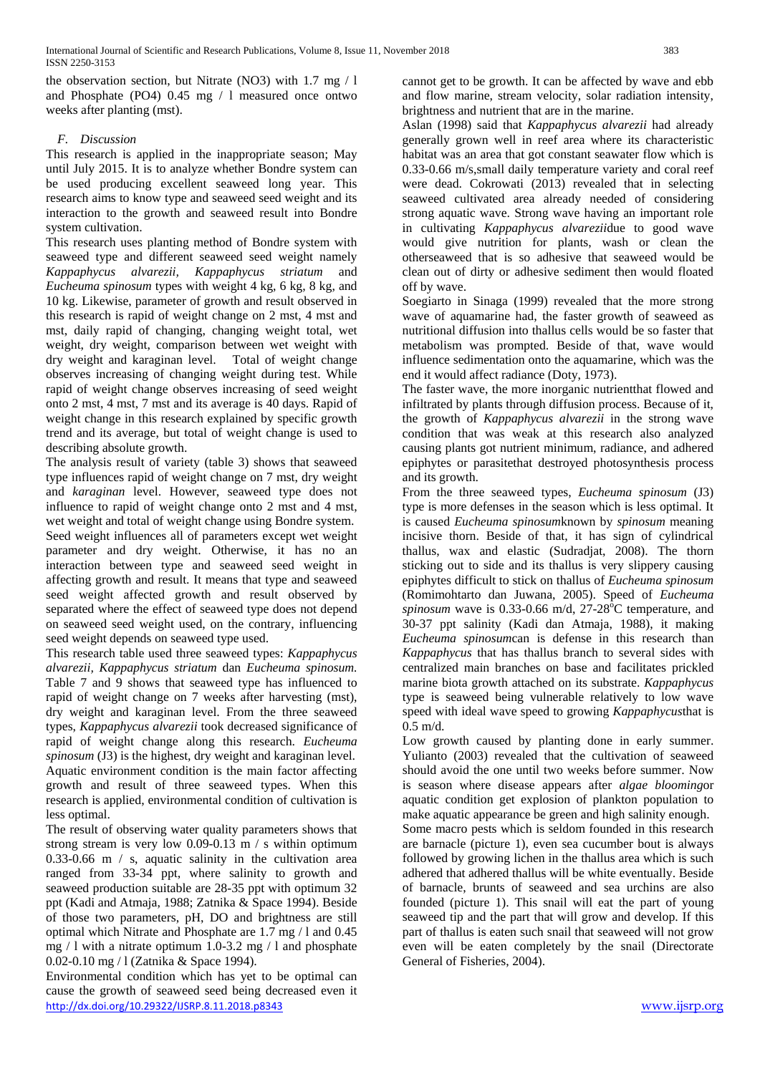the observation section, but Nitrate (NO3) with 1.7 mg / l and Phosphate (PO4) 0.45 mg / l measured once ontwo weeks after planting (mst).

## *F. Discussion*

This research is applied in the inappropriate season; May until July 2015. It is to analyze whether Bondre system can be used producing excellent seaweed long year. This research aims to know type and seaweed seed weight and its interaction to the growth and seaweed result into Bondre system cultivation.

This research uses planting method of Bondre system with seaweed type and different seaweed seed weight namely *Kappaphycus alvarezii, Kappaphycus striatum* and *Eucheuma spinosum* types with weight 4 kg, 6 kg, 8 kg, and 10 kg. Likewise, parameter of growth and result observed in this research is rapid of weight change on 2 mst, 4 mst and mst, daily rapid of changing, changing weight total, wet weight, dry weight, comparison between wet weight with dry weight and karaginan level. Total of weight change observes increasing of changing weight during test. While rapid of weight change observes increasing of seed weight onto 2 mst, 4 mst, 7 mst and its average is 40 days. Rapid of weight change in this research explained by specific growth trend and its average, but total of weight change is used to describing absolute growth.

The analysis result of variety (table 3) shows that seaweed type influences rapid of weight change on 7 mst, dry weight and *karaginan* level. However, seaweed type does not influence to rapid of weight change onto 2 mst and 4 mst, wet weight and total of weight change using Bondre system. Seed weight influences all of parameters except wet weight parameter and dry weight. Otherwise, it has no an interaction between type and seaweed seed weight in affecting growth and result. It means that type and seaweed seed weight affected growth and result observed by separated where the effect of seaweed type does not depend on seaweed seed weight used, on the contrary, influencing seed weight depends on seaweed type used.

This research table used three seaweed types: *Kappaphycus alvarezii, Kappaphycus striatum* dan *Eucheuma spinosum.* Table 7 and 9 shows that seaweed type has influenced to rapid of weight change on 7 weeks after harvesting (mst), dry weight and karaginan level. From the three seaweed types, *Kappaphycus alvarezii* took decreased significance of rapid of weight change along this research. *Eucheuma spinosum* (J3) is the highest, dry weight and karaginan level. Aquatic environment condition is the main factor affecting growth and result of three seaweed types. When this research is applied, environmental condition of cultivation is less optimal.

The result of observing water quality parameters shows that strong stream is very low 0.09-0.13 m / s within optimum 0.33-0.66 m / s, aquatic salinity in the cultivation area ranged from 33-34 ppt, where salinity to growth and seaweed production suitable are 28-35 ppt with optimum 32 ppt (Kadi and Atmaja, 1988; Zatnika & Space 1994). Beside of those two parameters, pH, DO and brightness are still optimal which Nitrate and Phosphate are 1.7 mg / l and 0.45 mg  $/ 1$  with a nitrate optimum 1.0-3.2 mg  $/ 1$  and phosphate 0.02-0.10 mg / l (Zatnika & Space 1994).

<http://dx.doi.org/10.29322/IJSRP.8.11.2018.p8343> [www.ijsrp.org](http://ijsrp.org/) Environmental condition which has yet to be optimal can cause the growth of seaweed seed being decreased even it

cannot get to be growth. It can be affected by wave and ebb and flow marine, stream velocity, solar radiation intensity, brightness and nutrient that are in the marine.

Aslan (1998) said that *Kappaphycus alvarezii* had already generally grown well in reef area where its characteristic habitat was an area that got constant seawater flow which is 0.33-0.66 m/s,small daily temperature variety and coral reef were dead. Cokrowati (2013) revealed that in selecting seaweed cultivated area already needed of considering strong aquatic wave. Strong wave having an important role in cultivating *Kappaphycus alvarezii*due to good wave would give nutrition for plants, wash or clean the otherseaweed that is so adhesive that seaweed would be clean out of dirty or adhesive sediment then would floated off by wave.

Soegiarto in Sinaga (1999) revealed that the more strong wave of aquamarine had, the faster growth of seaweed as nutritional diffusion into thallus cells would be so faster that metabolism was prompted. Beside of that, wave would influence sedimentation onto the aquamarine, which was the end it would affect radiance (Doty, 1973).

The faster wave, the more inorganic nutrientthat flowed and infiltrated by plants through diffusion process. Because of it, the growth of *Kappaphycus alvarezii* in the strong wave condition that was weak at this research also analyzed causing plants got nutrient minimum, radiance, and adhered epiphytes or parasitethat destroyed photosynthesis process and its growth.

From the three seaweed types, *Eucheuma spinosum* (J3) type is more defenses in the season which is less optimal. It is caused *Eucheuma spinosum*known by *spinosum* meaning incisive thorn. Beside of that, it has sign of cylindrical thallus, wax and elastic (Sudradjat, 2008). The thorn sticking out to side and its thallus is very slippery causing epiphytes difficult to stick on thallus of *Eucheuma spinosum* (Romimohtarto dan Juwana, 2005). Speed of *Eucheuma*  spinosum wave is  $0.33$ -0.66 m/d,  $27$ -28<sup> $\degree$ </sup>C temperature, and 30-37 ppt salinity (Kadi dan Atmaja, 1988), it making *Eucheuma spinosum*can is defense in this research than *Kappaphycus* that has thallus branch to several sides with centralized main branches on base and facilitates prickled marine biota growth attached on its substrate. *Kappaphycus* type is seaweed being vulnerable relatively to low wave speed with ideal wave speed to growing *Kappaphycus*that is  $0.5$  m/d.

Low growth caused by planting done in early summer. Yulianto (2003) revealed that the cultivation of seaweed should avoid the one until two weeks before summer. Now is season where disease appears after *algae blooming*or aquatic condition get explosion of plankton population to make aquatic appearance be green and high salinity enough. Some macro pests which is seldom founded in this research are barnacle (picture 1), even sea cucumber bout is always followed by growing lichen in the thallus area which is such adhered that adhered thallus will be white eventually. Beside of barnacle, brunts of seaweed and sea urchins are also founded (picture 1). This snail will eat the part of young seaweed tip and the part that will grow and develop. If this part of thallus is eaten such snail that seaweed will not grow even will be eaten completely by the snail (Directorate General of Fisheries, 2004).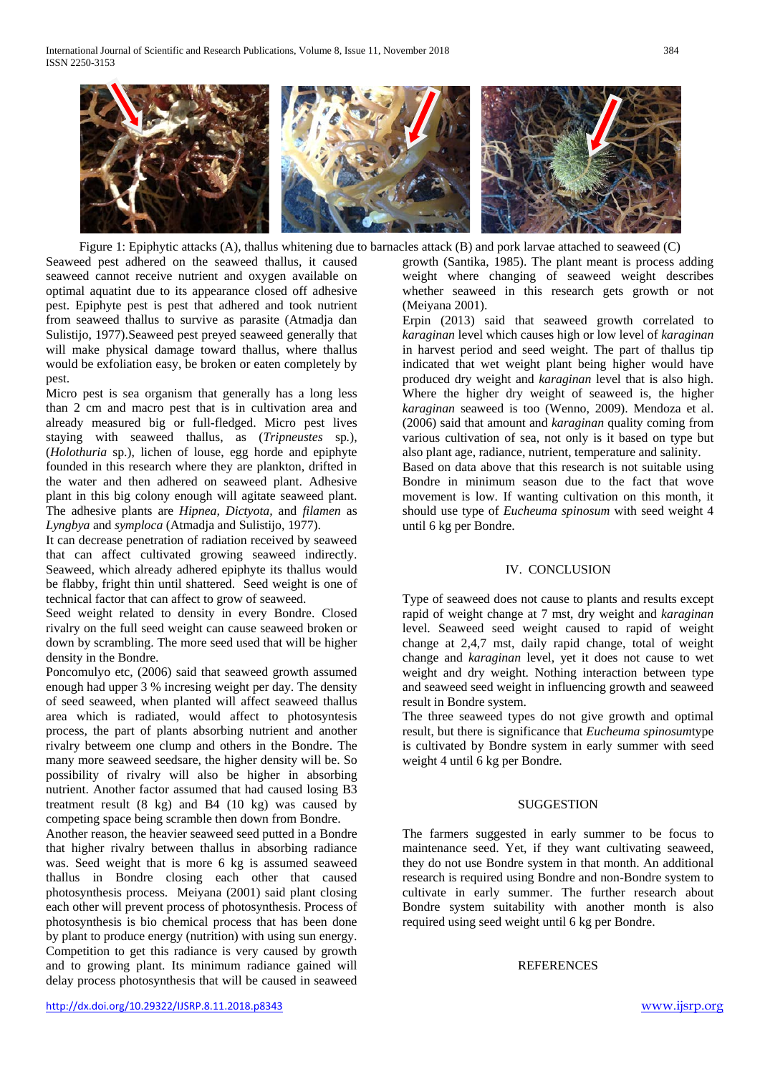

Figure 1: Epiphytic attacks (A), thallus whitening due to barnacles attack (B) and pork larvae attached to seaweed (C)

Seaweed pest adhered on the seaweed thallus, it caused seaweed cannot receive nutrient and oxygen available on optimal aquatint due to its appearance closed off adhesive pest. Epiphyte pest is pest that adhered and took nutrient from seaweed thallus to survive as parasite (Atmadja dan Sulistijo, 1977).Seaweed pest preyed seaweed generally that will make physical damage toward thallus, where thallus would be exfoliation easy, be broken or eaten completely by pest.

Micro pest is sea organism that generally has a long less than 2 cm and macro pest that is in cultivation area and already measured big or full-fledged. Micro pest lives staying with seaweed thallus, as (*Tripneustes* sp*.*), (*Holothuria* sp.), lichen of louse, egg horde and epiphyte founded in this research where they are plankton, drifted in the water and then adhered on seaweed plant. Adhesive plant in this big colony enough will agitate seaweed plant. The adhesive plants are *Hipnea, Dictyota,* and *filamen* as *Lyngbya* and *symploca* (Atmadja and Sulistijo, 1977).

It can decrease penetration of radiation received by seaweed that can affect cultivated growing seaweed indirectly. Seaweed, which already adhered epiphyte its thallus would be flabby, fright thin until shattered. Seed weight is one of technical factor that can affect to grow of seaweed.

Seed weight related to density in every Bondre. Closed rivalry on the full seed weight can cause seaweed broken or down by scrambling. The more seed used that will be higher density in the Bondre.

Poncomulyo etc, (2006) said that seaweed growth assumed enough had upper 3 % incresing weight per day. The density of seed seaweed, when planted will affect seaweed thallus area which is radiated, would affect to photosyntesis process, the part of plants absorbing nutrient and another rivalry betweem one clump and others in the Bondre. The many more seaweed seedsare, the higher density will be. So possibility of rivalry will also be higher in absorbing nutrient. Another factor assumed that had caused losing B3 treatment result (8 kg) and B4 (10 kg) was caused by competing space being scramble then down from Bondre.

Another reason, the heavier seaweed seed putted in a Bondre that higher rivalry between thallus in absorbing radiance was. Seed weight that is more 6 kg is assumed seaweed thallus in Bondre closing each other that caused photosynthesis process. Meiyana (2001) said plant closing each other will prevent process of photosynthesis. Process of photosynthesis is bio chemical process that has been done by plant to produce energy (nutrition) with using sun energy. Competition to get this radiance is very caused by growth and to growing plant. Its minimum radiance gained will delay process photosynthesis that will be caused in seaweed

growth (Santika, 1985). The plant meant is process adding weight where changing of seaweed weight describes whether seaweed in this research gets growth or not (Meiyana 2001).

Erpin (2013) said that seaweed growth correlated to *karaginan* level which causes high or low level of *karaginan* in harvest period and seed weight. The part of thallus tip indicated that wet weight plant being higher would have produced dry weight and *karaginan* level that is also high. Where the higher dry weight of seaweed is, the higher *karaginan* seaweed is too (Wenno, 2009). Mendoza et al. (2006) said that amount and *karaginan* quality coming from various cultivation of sea, not only is it based on type but also plant age, radiance, nutrient, temperature and salinity.

Based on data above that this research is not suitable using Bondre in minimum season due to the fact that wove movement is low. If wanting cultivation on this month, it should use type of *Eucheuma spinosum* with seed weight 4 until 6 kg per Bondre.

## IV. CONCLUSION

Type of seaweed does not cause to plants and results except rapid of weight change at 7 mst, dry weight and *karaginan* level. Seaweed seed weight caused to rapid of weight change at 2,4,7 mst, daily rapid change, total of weight change and *karaginan* level, yet it does not cause to wet weight and dry weight. Nothing interaction between type and seaweed seed weight in influencing growth and seaweed result in Bondre system.

The three seaweed types do not give growth and optimal result, but there is significance that *Eucheuma spinosum*type is cultivated by Bondre system in early summer with seed weight 4 until 6 kg per Bondre.

## SUGGESTION

The farmers suggested in early summer to be focus to maintenance seed. Yet, if they want cultivating seaweed, they do not use Bondre system in that month. An additional research is required using Bondre and non-Bondre system to cultivate in early summer. The further research about Bondre system suitability with another month is also required using seed weight until 6 kg per Bondre.

#### REFERENCES